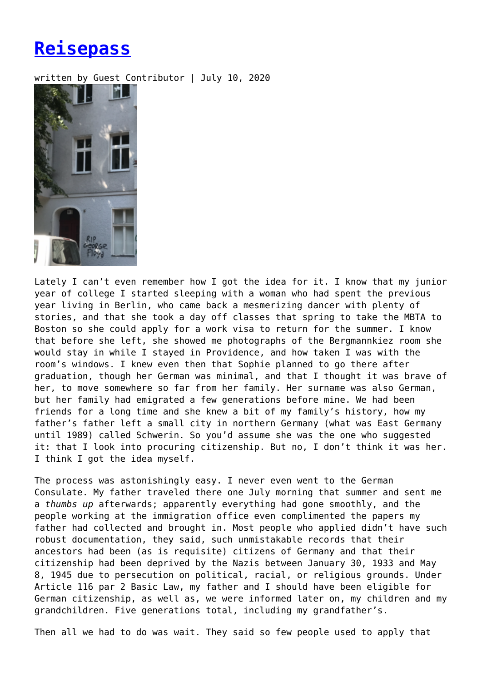## **[Reisepass](https://entropymag.org/reisepass/)**

written by Guest Contributor | July 10, 2020



Lately I can't even remember how I got the idea for it. I know that my junior year of college I started sleeping with a woman who had spent the previous year living in Berlin, who came back a mesmerizing dancer with plenty of stories, and that she took a day off classes that spring to take the MBTA to Boston so she could apply for a work visa to return for the summer. I know that before she left, she showed me photographs of the Bergmannkiez room she would stay in while I stayed in Providence, and how taken I was with the room's windows. I knew even then that Sophie planned to go there after graduation, though her German was minimal, and that I thought it was brave of her, to move somewhere so far from her family. Her surname was also German, but her family had emigrated a few generations before mine. We had been friends for a long time and she knew a bit of my family's history, how my father's father left a small city in northern Germany (what was East Germany until 1989) called Schwerin. So you'd assume she was the one who suggested it: that I look into procuring citizenship. But no, I don't think it was her. I think I got the idea myself.

The process was astonishingly easy. I never even went to the German Consulate. My father traveled there one July morning that summer and sent me a *thumbs up* afterwards; apparently everything had gone smoothly, and the people working at the immigration office even complimented the papers my father had collected and brought in. Most people who applied didn't have such robust documentation, they said, such unmistakable records that their ancestors had been (as is requisite) citizens of Germany and that their citizenship had been deprived by the Nazis between January 30, 1933 and May 8, 1945 due to persecution on political, racial, or religious grounds. Under Article 116 par 2 Basic Law, my father and I should have been eligible for German citizenship, as well as, we were informed later on, my children and my grandchildren. Five generations total, including my grandfather's.

Then all we had to do was wait. They said so few people used to apply that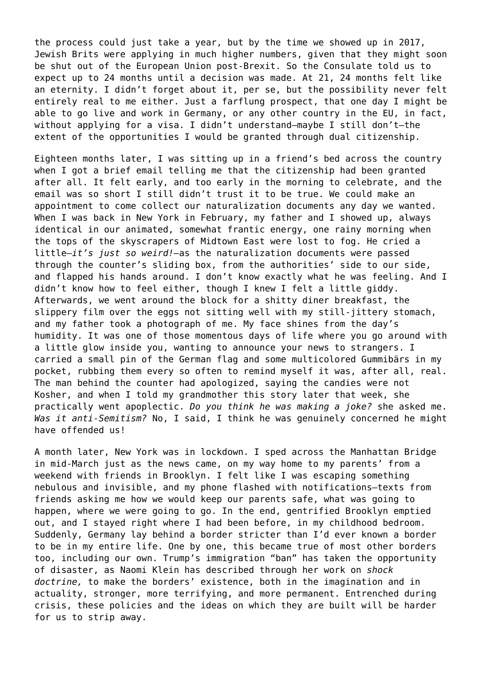the process could just take a year, but by the time we showed up in 2017, Jewish Brits were applying in much higher numbers, given that they might soon be shut out of the European Union post-Brexit. So the Consulate told us to expect up to 24 months until a decision was made. At 21, 24 months felt like an eternity. I didn't forget about it, per se, but the possibility never felt entirely real to me either. Just a farflung prospect, that one day I might be able to go live and work in Germany, or any other country in the EU, in fact, without applying for a visa. I didn't understand—maybe I still don't—the extent of the opportunities I would be granted through dual citizenship.

Eighteen months later, I was sitting up in a friend's bed across the country when I got a brief email telling me that the citizenship had been granted after all. It felt early, and too early in the morning to celebrate, and the email was so short I still didn't trust it to be true. We could make an appointment to come collect our naturalization documents any day we wanted. When I was back in New York in February, my father and I showed up, always identical in our animated, somewhat frantic energy, one rainy morning when the tops of the skyscrapers of Midtown East were lost to fog. He cried a little—*it's just so weird!—*as the naturalization documents were passed through the counter's sliding box, from the authorities' side to our side, and flapped his hands around. I don't know exactly what he was feeling. And I didn't know how to feel either, though I knew I felt a little giddy. Afterwards, we went around the block for a shitty diner breakfast, the slippery film over the eggs not sitting well with my still-jittery stomach, and my father took a photograph of me. My face shines from the day's humidity. It was one of those momentous days of life where you go around with a little glow inside you, wanting to announce your news to strangers. I carried a small pin of the German flag and some multicolored Gummibärs in my pocket, rubbing them every so often to remind myself it was, after all, real. The man behind the counter had apologized, saying the candies were not Kosher, and when I told my grandmother this story later that week, she practically went apoplectic. *Do you think he was making a joke?* she asked me. *Was it anti-Semitism?* No, I said, I think he was genuinely concerned he might have offended us!

A month later, New York was in lockdown. I sped across the Manhattan Bridge in mid-March just as the news came, on my way home to my parents' from a weekend with friends in Brooklyn. I felt like I was escaping something nebulous and invisible, and my phone flashed with notifications—texts from friends asking me how we would keep our parents safe, what was going to happen, where we were going to go. In the end, gentrified Brooklyn emptied out, and I stayed right where I had been before, in my childhood bedroom. Suddenly, Germany lay behind a border stricter than I'd ever known a border to be in my entire life. One by one, this became true of most other borders too, including our own. Trump's immigration "ban" has taken the opportunity of disaster, as Naomi Klein has described through her work on *shock doctrine,* to make the borders' existence, both in the imagination and in actuality, stronger, more terrifying, and more permanent. Entrenched during crisis, these policies and the ideas on which they are built will be harder for us to strip away.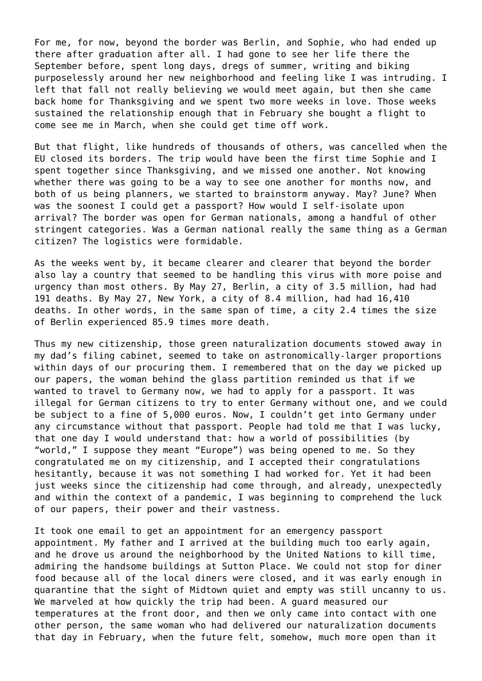For me, for now, beyond the border was Berlin, and Sophie, who had ended up there after graduation after all. I had gone to see her life there the September before, spent long days, dregs of summer, writing and biking purposelessly around her new neighborhood and feeling like I was intruding. I left that fall not really believing we would meet again, but then she came back home for Thanksgiving and we spent two more weeks in love. Those weeks sustained the relationship enough that in February she bought a flight to come see me in March, when she could get time off work.

But that flight, like hundreds of thousands of others, was cancelled when the EU closed its borders. The trip would have been the first time Sophie and I spent together since Thanksgiving, and we missed one another. Not knowing whether there was going to be a way to see one another for months now, and both of us being planners, we started to brainstorm anyway. May? June? When was the soonest I could get a passport? How would I self-isolate upon arrival? The border was open for German nationals, among a handful of other stringent categories. Was a German national really the same thing as a German citizen? The logistics were formidable.

As the weeks went by, it became clearer and clearer that beyond the border also lay a country that seemed to be handling this virus with more poise and urgency than most others. By May 27, Berlin, a city of 3.5 million, had had 191 deaths. By May 27, New York, a city of 8.4 million, had had 16,410 deaths. In other words, in the same span of time, a city 2.4 times the size of Berlin experienced 85.9 times more death.

Thus my new citizenship, those green naturalization documents stowed away in my dad's filing cabinet, seemed to take on astronomically-larger proportions within days of our procuring them. I remembered that on the day we picked up our papers, the woman behind the glass partition reminded us that if we wanted to travel to Germany now, we had to apply for a passport. It was illegal for German citizens to try to enter Germany without one, and we could be subject to a fine of 5,000 euros. Now, I couldn't get into Germany under any circumstance without that passport. People had told me that I was lucky, that one day I would understand that: how a world of possibilities (by "world," I suppose they meant "Europe") was being opened to me. So they congratulated me on my citizenship, and I accepted their congratulations hesitantly, because it was not something I had worked for. Yet it had been just weeks since the citizenship had come through, and already, unexpectedly and within the context of a pandemic, I was beginning to comprehend the luck of our papers, their power and their vastness.

It took one email to get an appointment for an emergency passport appointment. My father and I arrived at the building much too early again, and he drove us around the neighborhood by the United Nations to kill time, admiring the handsome buildings at Sutton Place. We could not stop for diner food because all of the local diners were closed, and it was early enough in quarantine that the sight of Midtown quiet and empty was still uncanny to us. We marveled at how quickly the trip had been. A guard measured our temperatures at the front door, and then we only came into contact with one other person, the same woman who had delivered our naturalization documents that day in February, when the future felt, somehow, much more open than it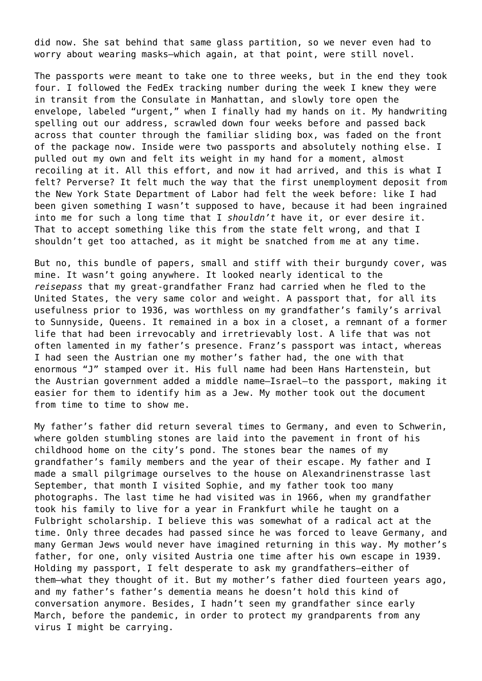did now. She sat behind that same glass partition, so we never even had to worry about wearing masks—which again, at that point, were still novel.

The passports were meant to take one to three weeks, but in the end they took four. I followed the FedEx tracking number during the week I knew they were in transit from the Consulate in Manhattan, and slowly tore open the envelope, labeled "urgent," when I finally had my hands on it. My handwriting spelling out our address, scrawled down four weeks before and passed back across that counter through the familiar sliding box, was faded on the front of the package now. Inside were two passports and absolutely nothing else. I pulled out my own and felt its weight in my hand for a moment, almost recoiling at it. All this effort, and now it had arrived, and this is what I felt? Perverse? It felt much the way that the first unemployment deposit from the New York State Department of Labor had felt the week before: like I had been given something I wasn't supposed to have, because it had been ingrained into me for such a long time that I *shouldn't* have it, or ever desire it. That to accept something like this from the state felt wrong, and that I shouldn't get too attached, as it might be snatched from me at any time.

But no, this bundle of papers, small and stiff with their burgundy cover, was mine. It wasn't going anywhere. It looked nearly identical to the *reisepass* that my great-grandfather Franz had carried when he fled to the United States, the very same color and weight. A passport that, for all its usefulness prior to 1936, was worthless on my grandfather's family's arrival to Sunnyside, Queens. It remained in a box in a closet, a remnant of a former life that had been irrevocably and irretrievably lost. A life that was not often lamented in my father's presence. Franz's passport was intact, whereas I had seen the Austrian one my mother's father had, the one with that enormous "J" stamped over it. His full name had been Hans Hartenstein, but the Austrian government added a middle name—Israel—to the passport, making it easier for them to identify him as a Jew. My mother took out the document from time to time to show me.

My father's father did return several times to Germany, and even to Schwerin, where golden stumbling stones are laid into the pavement in front of his childhood home on the city's pond. The stones bear the names of my grandfather's family members and the year of their escape. My father and I made a small pilgrimage ourselves to the house on Alexandrinenstrasse last September, that month I visited Sophie, and my father took too many photographs. The last time he had visited was in 1966, when my grandfather took his family to live for a year in Frankfurt while he taught on a Fulbright scholarship. I believe this was somewhat of a radical act at the time. Only three decades had passed since he was forced to leave Germany, and many German Jews would never have imagined returning in this way. My mother's father, for one, only visited Austria one time after his own escape in 1939. Holding my passport, I felt desperate to ask my grandfathers—either of them—what they thought of it. But my mother's father died fourteen years ago, and my father's father's dementia means he doesn't hold this kind of conversation anymore. Besides, I hadn't seen my grandfather since early March, before the pandemic, in order to protect my grandparents from any virus I might be carrying.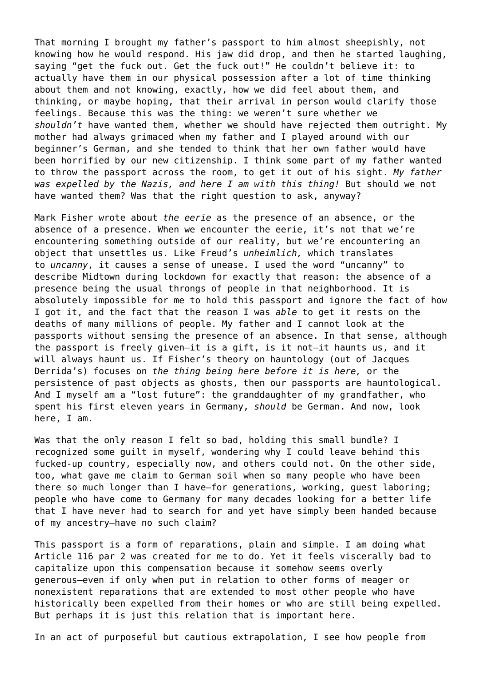That morning I brought my father's passport to him almost sheepishly, not knowing how he would respond. His jaw did drop, and then he started laughing, saying "get the fuck out. Get the fuck out!" He couldn't believe it: to actually have them in our physical possession after a lot of time thinking about them and not knowing, exactly, how we did feel about them, and thinking, or maybe hoping, that their arrival in person would clarify those feelings. Because this was the thing: we weren't sure whether we *shouldn't* have wanted them, whether we should have rejected them outright. My mother had always grimaced when my father and I played around with our beginner's German, and she tended to think that her own father would have been horrified by our new citizenship. I think some part of my father wanted to throw the passport across the room, to get it out of his sight. *My father was expelled by the Nazis, and here I am with this thing!* But should we not have wanted them? Was that the right question to ask, anyway?

Mark Fisher wrote about *the eerie* as the presence of an absence, or the absence of a presence. When we encounter the eerie, it's not that we're encountering something outside of our reality, but we're encountering an object that unsettles us. Like Freud's *unheimlich,* which translates to *uncanny*, it causes a sense of unease. I used the word "uncanny" to describe Midtown during lockdown for exactly that reason: the absence of a presence being the usual throngs of people in that neighborhood. It is absolutely impossible for me to hold this passport and ignore the fact of how I got it, and the fact that the reason I was *able* to get it rests on the deaths of many millions of people. My father and I cannot look at the passports without sensing the presence of an absence. In that sense, although the passport is freely given—it is a gift, is it not—it haunts us, and it will always haunt us. If Fisher's theory on hauntology (out of Jacques Derrida's) focuses on *the thing being here before it is here,* or the persistence of past objects as ghosts, then our passports are hauntological. And I myself am a "lost future": the granddaughter of my grandfather, who spent his first eleven years in Germany, *should* be German. And now, look here, I am.

Was that the only reason I felt so bad, holding this small bundle? I recognized some guilt in myself, wondering why I could leave behind this fucked-up country, especially now, and others could not. On the other side, too, what gave me claim to German soil when so many people who have been there so much longer than I have—for generations, working, guest laboring; people who have come to Germany for many decades looking for a better life that I have never had to search for and yet have simply been handed because of my ancestry—have no such claim?

This passport is a form of reparations, plain and simple. I am doing what Article 116 par 2 was created for me to do. Yet it feels viscerally bad to capitalize upon this compensation because it somehow seems overly generous—even if only when put in relation to other forms of meager or nonexistent reparations that are extended to most other people who have historically been expelled from their homes or who are still being expelled. But perhaps it is just this relation that is important here.

In an act of purposeful but cautious extrapolation, I see how people from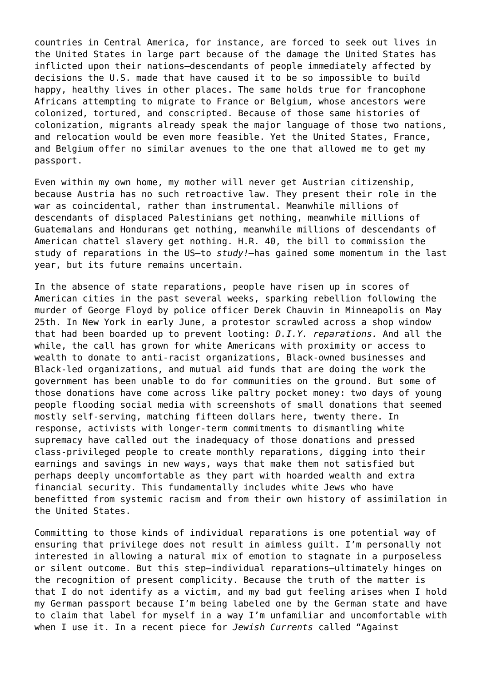countries in Central America, for instance, are forced to seek out lives in the United States in large part because of the damage the United States has inflicted upon their nations—descendants of people immediately affected by decisions the U.S. made that have caused it to be so impossible to build happy, healthy lives in other places. The same holds true for francophone Africans attempting to migrate to France or Belgium, whose ancestors were colonized, tortured, and conscripted. Because of those same histories of colonization, migrants already speak the major language of those two nations, and relocation would be even more feasible. Yet the United States, France, and Belgium offer no similar avenues to the one that allowed me to get my passport.

Even within my own home, my mother will never get Austrian citizenship, because Austria has no such retroactive law. They present their role in the war as coincidental, rather than instrumental. Meanwhile millions of descendants of displaced Palestinians get nothing, meanwhile millions of Guatemalans and Hondurans get nothing, meanwhile millions of descendants of American chattel slavery get nothing. H.R. 40, the bill to commission the study of reparations in the US—to *study!—*has gained some momentum in the last year, but its future remains uncertain.

In the absence of state reparations, people have risen up in scores of American cities in the past several weeks, sparking rebellion following the murder of George Floyd by police officer Derek Chauvin in Minneapolis on May 25th. In New York in early June, a protestor scrawled across a shop window that had been boarded up to prevent looting: *D.I.Y. reparations.* And all the while, the call has grown for white Americans with proximity or access to wealth to donate to anti-racist organizations, Black-owned businesses and Black-led organizations, and mutual aid funds that are doing the work the government has been unable to do for communities on the ground. But some of those donations have come across like paltry pocket money: two days of young people flooding social media with screenshots of small donations that seemed mostly self-serving, matching fifteen dollars here, twenty there. In response, activists with longer-term commitments to dismantling white supremacy have called out the inadequacy of those donations and pressed class-privileged people to create monthly reparations, digging into their earnings and savings in new ways, ways that make them not satisfied but perhaps deeply uncomfortable as they part with hoarded wealth and extra financial security. This fundamentally includes white Jews who have benefitted from systemic racism and from their own history of assimilation in the United States.

Committing to those kinds of individual reparations is one potential way of ensuring that privilege does not result in aimless guilt. I'm personally not interested in allowing a natural mix of emotion to stagnate in a purposeless or silent outcome. But this step—individual reparations—ultimately hinges on the recognition of present complicity. Because the truth of the matter is that I do not identify as a victim, and my bad gut feeling arises when I hold my German passport because I'm being labeled one by the German state and have to claim that label for myself in a way I'm unfamiliar and uncomfortable with when I use it. In a recent piece for *Jewish Currents* called "Against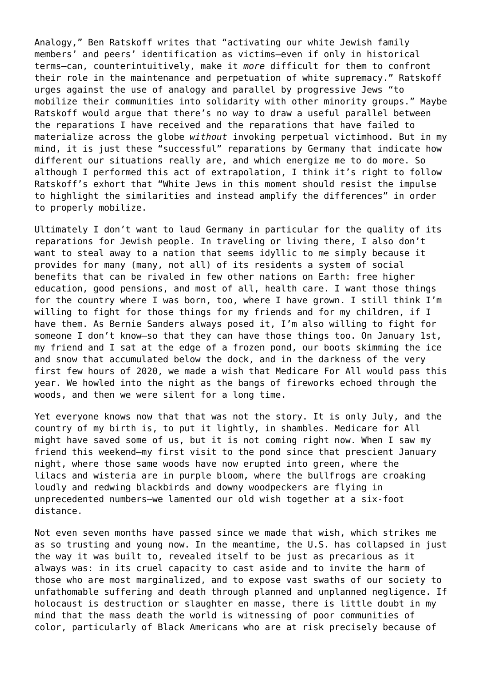Analogy," Ben Ratskoff writes that "activating our white Jewish family members' and peers' identification as victims—even if only in historical terms—can, counterintuitively, make it *more* difficult for them to confront their role in the maintenance and perpetuation of white supremacy." Ratskoff urges against the use of analogy and parallel by progressive Jews "to mobilize their communities into solidarity with other minority groups." Maybe Ratskoff would argue that there's no way to draw a useful parallel between the reparations I have received and the reparations that have failed to materialize across the globe *without* invoking perpetual victimhood. But in my mind, it is just these "successful" reparations by Germany that indicate how different our situations really are, and which energize me to do more. So although I performed this act of extrapolation, I think it's right to follow Ratskoff's exhort that "White Jews in this moment should resist the impulse to highlight the similarities and instead amplify the differences" in order to properly mobilize.

Ultimately I don't want to laud Germany in particular for the quality of its reparations for Jewish people. In traveling or living there, I also don't want to steal away to a nation that seems idyllic to me simply because it provides for many (many, not all) of its residents a system of social benefits that can be rivaled in few other nations on Earth: free higher education, good pensions, and most of all, health care. I want those things for the country where I was born, too, where I have grown. I still think I'm willing to fight for those things for my friends and for my children, if I have them. As Bernie Sanders always posed it, I'm also willing to fight for someone I don't know—so that they can have those things too. On January 1st, my friend and I sat at the edge of a frozen pond, our boots skimming the ice and snow that accumulated below the dock, and in the darkness of the very first few hours of 2020, we made a wish that Medicare For All would pass this year. We howled into the night as the bangs of fireworks echoed through the woods, and then we were silent for a long time.

Yet everyone knows now that that was not the story. It is only July, and the country of my birth is, to put it lightly, in shambles. Medicare for All might have saved some of us, but it is not coming right now. When I saw my friend this weekend—my first visit to the pond since that prescient January night, where those same woods have now erupted into green, where the lilacs and wisteria are in purple bloom, where the bullfrogs are croaking loudly and redwing blackbirds and downy woodpeckers are flying in unprecedented numbers—we lamented our old wish together at a six-foot distance.

Not even seven months have passed since we made that wish, which strikes me as so trusting and young now. In the meantime, the U.S. has collapsed in just the way it was built to, revealed itself to be just as precarious as it always was: in its cruel capacity to cast aside and to invite the harm of those who are most marginalized, and to expose vast swaths of our society to unfathomable suffering and death through planned and unplanned negligence. If holocaust is destruction or slaughter en masse, there is little doubt in my mind that the mass death the world is witnessing of poor communities of color, particularly of Black Americans who are at risk precisely because of